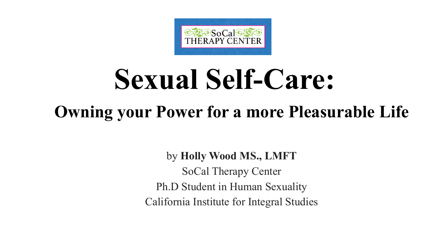

# **Sexual Self-Care:**

### **Owning your Power for a more Pleasurable Life**

by **Holly Wood MS., LMFT**

SoCal Therapy Center Ph.D Student in Human Sexuality California Institute for Integral Studies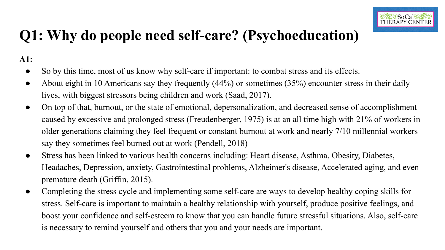#### **Q1: Why do people need self-care? (Psychoeducation)**

**A1:**

- So by this time, most of us know why self-care if important: to combat stress and its effects.
- About eight in 10 Americans say they frequently (44%) or sometimes (35%) encounter stress in their daily lives, with biggest stressors being children and work (Saad, 2017).
- On top of that, burnout, or the state of emotional, depersonalization, and decreased sense of accomplishment caused by excessive and prolonged stress (Freudenberger, 1975) is at an all time high with 21% of workers in older generations claiming they feel frequent or constant burnout at work and nearly 7/10 millennial workers say they sometimes feel burned out at work (Pendell, 2018)
- Stress has been linked to various health concerns including: Heart disease, Asthma, Obesity, Diabetes, Headaches, Depression, anxiety, Gastrointestinal problems, Alzheimer's disease, Accelerated aging, and even premature death (Griffin, 2015).
- Completing the stress cycle and implementing some self-care are ways to develop healthy coping skills for stress. Self-care is important to maintain a healthy relationship with yourself, produce positive feelings, and boost your confidence and self-esteem to know that you can handle future stressful situations. Also, self-care is necessary to remind yourself and others that you and your needs are important.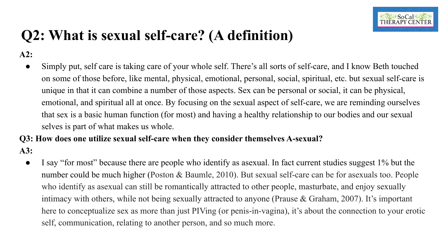

#### **Q2: What is sexual self-care? (A definition)**

**A2:**

● Simply put, self care is taking care of your whole self. There's all sorts of self-care, and I know Beth touched on some of those before, like mental, physical, emotional, personal, social, spiritual, etc. but sexual self-care is unique in that it can combine a number of those aspects. Sex can be personal or social, it can be physical, emotional, and spiritual all at once. By focusing on the sexual aspect of self-care, we are reminding ourselves that sex is a basic human function (for most) and having a healthy relationship to our bodies and our sexual selves is part of what makes us whole.

#### **Q3: How does one utilize sexual self-care when they consider themselves A-sexual? A3:**

I say "for most" because there are people who identify as asexual. In fact current studies suggest 1% but the number could be much higher (Poston & Baumle, 2010). But sexual self-care can be for asexuals too. People who identify as asexual can still be romantically attracted to other people, masturbate, and enjoy sexually intimacy with others, while not being sexually attracted to anyone (Prause & Graham, 2007). It's important here to conceptualize sex as more than just PIVing (or penis-in-vagina), it's about the connection to your erotic self, communication, relating to another person, and so much more.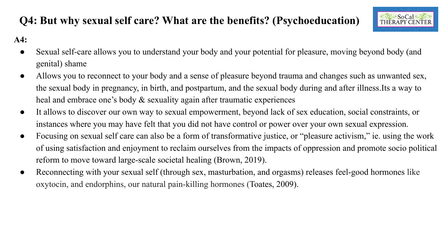

#### **Q4: But why sexual self care? What are the benefits? (Psychoeducation) A4:**

- Sexual self-care allows you to understand your body and your potential for pleasure, moving beyond body (and genital) shame
- Allows you to reconnect to your body and a sense of pleasure beyond trauma and changes such as unwanted sex, the sexual body in pregnancy, in birth, and postpartum, and the sexual body during and after illness.Its a way to heal and embrace one's body & sexuality again after traumatic experiences
- It allows to discover our own way to sexual empowerment, beyond lack of sex education, social constraints, or instances where you may have felt that you did not have control or power over your own sexual expression.
- Focusing on sexual self care can also be a form of transformative justice, or "pleasure activism," ie. using the work of using satisfaction and enjoyment to reclaim ourselves from the impacts of oppression and promote socio political reform to move toward large-scale societal healing (Brown, 2019).
- Reconnecting with your sexual self (through sex, masturbation, and orgasms) releases feel-good hormones like oxytocin, and endorphins, our natural pain-killing hormones (Toates, 2009).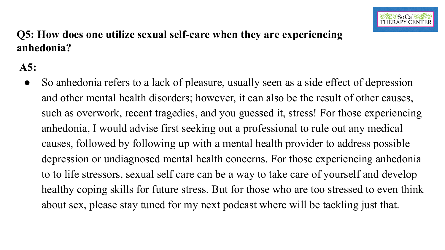

#### **Q5: How does one utilize sexual self-care when they are experiencing anhedonia?**

**A5:**

• So anhedonia refers to a lack of pleasure, usually seen as a side effect of depression and other mental health disorders; however, it can also be the result of other causes, such as overwork, recent tragedies, and you guessed it, stress! For those experiencing anhedonia, I would advise first seeking out a professional to rule out any medical causes, followed by following up with a mental health provider to address possible depression or undiagnosed mental health concerns. For those experiencing anhedonia to to life stressors, sexual self care can be a way to take care of yourself and develop healthy coping skills for future stress. But for those who are too stressed to even think about sex, please stay tuned for my next podcast where will be tackling just that.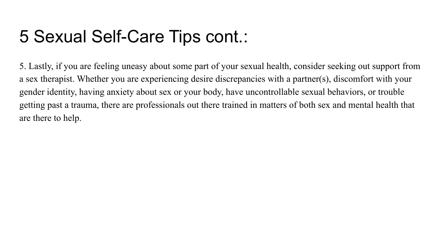

#### 4: But why sexual self care? What are the benefits? (Psychoeducation)  $A4$ :

Sexual self-are all s u u ers a ur a urpe ialf r pleasure i e e ial s a e a a se se fpleasure e rau a a a es su  $\parallel$  s  $\parallel$ re e ur as u a ipre a i ir a p sparu a e sexual uri a aferilless seala e sexual sexuali a ai afer rau a i experie es es a e rae a sexuale per e e la fsexe u a i sial sirais all s is er ur ere u a aefel a u i ae rlrp er er ur isa es sexual expressi sexual self are a als eafr fra sfraieusie r pleasure a i is ie usi usi fusi saisfa i a e e relai urseles frei pas f ppressi a presi ar lar e-s ale s ie al eali ref r  $e$  $\mathsf{r}$ i ursexual selfru sex as urai a ras s releases feel- $\parallel$  er e i  $e$ es i a e rpis ur a ural pai-illi r Tesa es  $\mathbf{x}$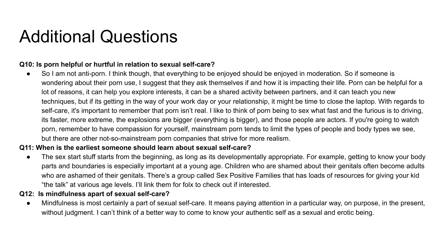## $\bigcup_{\alpha} \mathcal{L}$  and  $\bigcap_{\alpha} \mathcal{L}$  and  $\bigcap_{\alpha} \mathcal{L}$  and  $\bigcap_{\alpha} \mathcal{L}$

#### **Q10: Is porn helpful or hurtful in relation to sexual self-care?**

**A10:** So I am not anti-porn. I think though, that everything to be enjoyed should be enjoyed in moderation. So if someone is wondering about their porn use, I suggest that they ask themselves if and how it is impacting their life. Porn can be helpful for a lot of reasons, it can help you explore interests, it can be a shared activity between partners, and it can teach you new techniques, but if its getting in the way of your work day or your relationship, it might be time to close the laptop. With regards to self-care, it's important to remember that porn isn't real. I like to think of porn being to sex what fast and the furious is to driving, its faster, more extreme, the explosions are bigger (everything is bigger), and those people are actors. If you're going to watch porn, remember to have compassion for yourself, mainstream porn tends to limit the types of people and body types we see, but there are other not-so-mainstream porn companies that strive for more realism.

#### **Q11: When is the earliest someone should learn about sexual self-care?**

**A11:** The sex start stuff starts from the beginning, as long as its developmentally appropriate. For example, getting to know your body parts and boundaries is especially important at a young age. Children who are shamed about their genitals often become adults who are ashamed of their genitals. There's a group called Sex Positive Families that has loads of resources for giving your kid "the talk" at various age levels. I'll link them for folx to check out if interested.

#### **Q12: Is mindfulness apart of sexual self-care?**

**A12:** Mindfulness is most certainly a part of sexual self-care. It means paying attention in a particular way, on purpose, in the present, without judgment. I can't think of a better way to come to know your authentic self as a sexual and erotic being.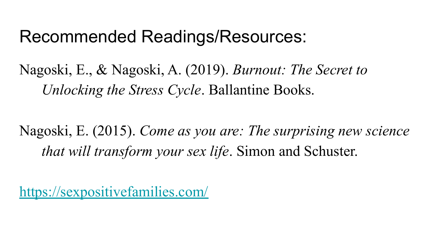

### Nagoski, E., & Nagoski, A. (2019). *Burnout: The Secret to Unlocking the Stress Cycle*. Ballantine Books.

Nagoski, E. (2015). *Come as you are: The surprising new science that will transform your sex life*. Simon and Schuster.

<https://sexpositivefamilies.com/>